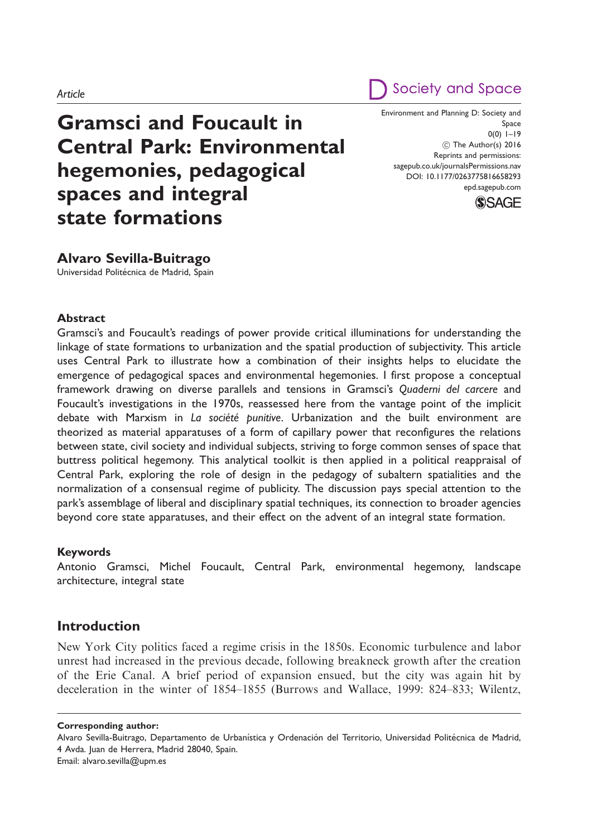Society and Space

Environment and Planning D: Society and Space  $0(0)$  1–19 (C) The Author(s) 2016 Reprints and permissions: sagepub.co.uk/journalsPermissions.nav DOI: 10.1177/0263775816658293 epd.sagepub.com



# Gramsci and Foucault in Central Park: Environmental hegemonies, pedagogical spaces and integral state formations

# Alvaro Sevilla-Buitrago

Universidad Politécnica de Madrid, Spain

## Abstract

Gramsci's and Foucault's readings of power provide critical illuminations for understanding the linkage of state formations to urbanization and the spatial production of subjectivity. This article uses Central Park to illustrate how a combination of their insights helps to elucidate the emergence of pedagogical spaces and environmental hegemonies. I first propose a conceptual framework drawing on diverse parallels and tensions in Gramsci's Quaderni del carcere and Foucault's investigations in the 1970s, reassessed here from the vantage point of the implicit debate with Marxism in La société punitive. Urbanization and the built environment are theorized as material apparatuses of a form of capillary power that reconfigures the relations between state, civil society and individual subjects, striving to forge common senses of space that buttress political hegemony. This analytical toolkit is then applied in a political reappraisal of Central Park, exploring the role of design in the pedagogy of subaltern spatialities and the normalization of a consensual regime of publicity. The discussion pays special attention to the park's assemblage of liberal and disciplinary spatial techniques, its connection to broader agencies beyond core state apparatuses, and their effect on the advent of an integral state formation.

# Keywords

Antonio Gramsci, Michel Foucault, Central Park, environmental hegemony, landscape architecture, integral state

# Introduction

New York City politics faced a regime crisis in the 1850s. Economic turbulence and labor unrest had increased in the previous decade, following breakneck growth after the creation of the Erie Canal. A brief period of expansion ensued, but the city was again hit by deceleration in the winter of 1854–1855 (Burrows and Wallace, 1999: 824–833; Wilentz,

Corresponding author:

#### Article

Alvaro Sevilla-Buitrago, Departamento de Urbanística y Ordenación del Territorio, Universidad Politécnica de Madrid, 4 Avda. Juan de Herrera, Madrid 28040, Spain. Email: alvaro.sevilla@upm.es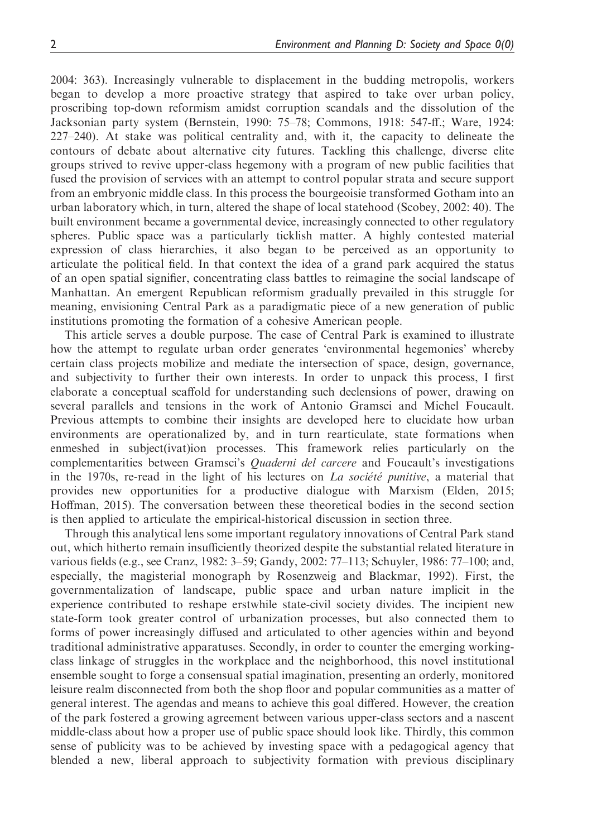2004: 363). Increasingly vulnerable to displacement in the budding metropolis, workers began to develop a more proactive strategy that aspired to take over urban policy, proscribing top-down reformism amidst corruption scandals and the dissolution of the Jacksonian party system (Bernstein, 1990: 75–78; Commons, 1918: 547-ff.; Ware, 1924: 227–240). At stake was political centrality and, with it, the capacity to delineate the contours of debate about alternative city futures. Tackling this challenge, diverse elite groups strived to revive upper-class hegemony with a program of new public facilities that fused the provision of services with an attempt to control popular strata and secure support from an embryonic middle class. In this process the bourgeoisie transformed Gotham into an urban laboratory which, in turn, altered the shape of local statehood (Scobey, 2002: 40). The built environment became a governmental device, increasingly connected to other regulatory spheres. Public space was a particularly ticklish matter. A highly contested material expression of class hierarchies, it also began to be perceived as an opportunity to articulate the political field. In that context the idea of a grand park acquired the status of an open spatial signifier, concentrating class battles to reimagine the social landscape of Manhattan. An emergent Republican reformism gradually prevailed in this struggle for meaning, envisioning Central Park as a paradigmatic piece of a new generation of public institutions promoting the formation of a cohesive American people.

This article serves a double purpose. The case of Central Park is examined to illustrate how the attempt to regulate urban order generates 'environmental hegemonies' whereby certain class projects mobilize and mediate the intersection of space, design, governance, and subjectivity to further their own interests. In order to unpack this process, I first elaborate a conceptual scaffold for understanding such declensions of power, drawing on several parallels and tensions in the work of Antonio Gramsci and Michel Foucault. Previous attempts to combine their insights are developed here to elucidate how urban environments are operationalized by, and in turn rearticulate, state formations when enmeshed in subject(ivat)ion processes. This framework relies particularly on the complementarities between Gramsci's Quaderni del carcere and Foucault's investigations in the 1970s, re-read in the light of his lectures on  $La$  société punitive, a material that provides new opportunities for a productive dialogue with Marxism (Elden, 2015; Hoffman, 2015). The conversation between these theoretical bodies in the second section is then applied to articulate the empirical-historical discussion in section three.

Through this analytical lens some important regulatory innovations of Central Park stand out, which hitherto remain insufficiently theorized despite the substantial related literature in various fields (e.g., see Cranz, 1982: 3–59; Gandy, 2002: 77–113; Schuyler, 1986: 77–100; and, especially, the magisterial monograph by Rosenzweig and Blackmar, 1992). First, the governmentalization of landscape, public space and urban nature implicit in the experience contributed to reshape erstwhile state-civil society divides. The incipient new state-form took greater control of urbanization processes, but also connected them to forms of power increasingly diffused and articulated to other agencies within and beyond traditional administrative apparatuses. Secondly, in order to counter the emerging workingclass linkage of struggles in the workplace and the neighborhood, this novel institutional ensemble sought to forge a consensual spatial imagination, presenting an orderly, monitored leisure realm disconnected from both the shop floor and popular communities as a matter of general interest. The agendas and means to achieve this goal differed. However, the creation of the park fostered a growing agreement between various upper-class sectors and a nascent middle-class about how a proper use of public space should look like. Thirdly, this common sense of publicity was to be achieved by investing space with a pedagogical agency that blended a new, liberal approach to subjectivity formation with previous disciplinary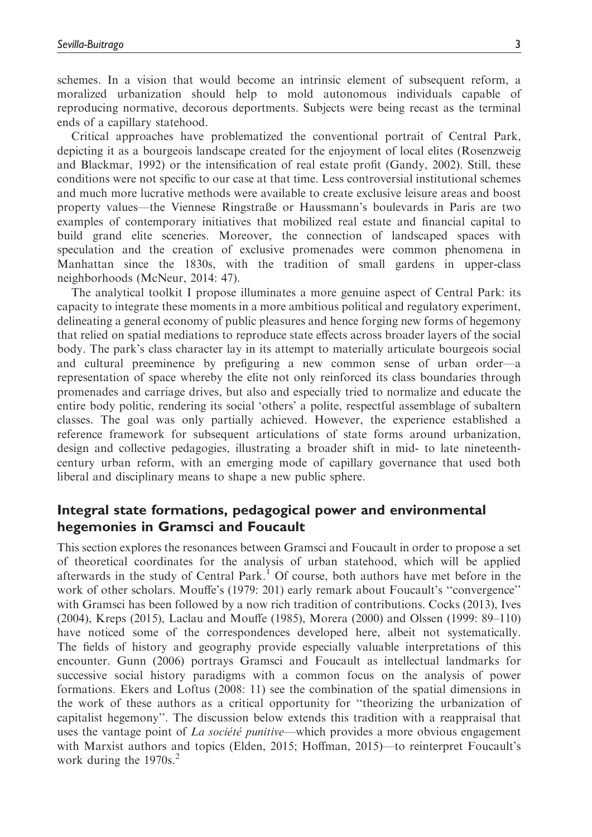schemes. In a vision that would become an intrinsic element of subsequent reform, a moralized urbanization should help to mold autonomous individuals capable of reproducing normative, decorous deportments. Subjects were being recast as the terminal ends of a capillary statehood.

Critical approaches have problematized the conventional portrait of Central Park, depicting it as a bourgeois landscape created for the enjoyment of local elites (Rosenzweig and Blackmar, 1992) or the intensification of real estate profit (Gandy, 2002). Still, these conditions were not specific to our case at that time. Less controversial institutional schemes and much more lucrative methods were available to create exclusive leisure areas and boost property values—the Viennese Ringstraße or Haussmann's boulevards in Paris are two examples of contemporary initiatives that mobilized real estate and financial capital to build grand elite sceneries. Moreover, the connection of landscaped spaces with speculation and the creation of exclusive promenades were common phenomena in Manhattan since the 1830s, with the tradition of small gardens in upper-class neighborhoods (McNeur, 2014: 47).

The analytical toolkit I propose illuminates a more genuine aspect of Central Park: its capacity to integrate these moments in a more ambitious political and regulatory experiment, delineating a general economy of public pleasures and hence forging new forms of hegemony that relied on spatial mediations to reproduce state effects across broader layers of the social body. The park's class character lay in its attempt to materially articulate bourgeois social and cultural preeminence by prefiguring a new common sense of urban order—a representation of space whereby the elite not only reinforced its class boundaries through promenades and carriage drives, but also and especially tried to normalize and educate the entire body politic, rendering its social 'others' a polite, respectful assemblage of subaltern classes. The goal was only partially achieved. However, the experience established a reference framework for subsequent articulations of state forms around urbanization, design and collective pedagogies, illustrating a broader shift in mid- to late nineteenthcentury urban reform, with an emerging mode of capillary governance that used both liberal and disciplinary means to shape a new public sphere.

# Integral state formations, pedagogical power and environmental hegemonies in Gramsci and Foucault

This section explores the resonances between Gramsci and Foucault in order to propose a set of theoretical coordinates for the analysis of urban statehood, which will be applied afterwards in the study of Central Park.<sup>1</sup> Of course, both authors have met before in the work of other scholars. Mouffe's (1979: 201) early remark about Foucault's ''convergence'' with Gramsci has been followed by a now rich tradition of contributions. Cocks (2013), Ives (2004), Kreps (2015), Laclau and Mouffe (1985), Morera (2000) and Olssen (1999: 89–110) have noticed some of the correspondences developed here, albeit not systematically. The fields of history and geography provide especially valuable interpretations of this encounter. Gunn (2006) portrays Gramsci and Foucault as intellectual landmarks for successive social history paradigms with a common focus on the analysis of power formations. Ekers and Loftus (2008: 11) see the combination of the spatial dimensions in the work of these authors as a critical opportunity for ''theorizing the urbanization of capitalist hegemony''. The discussion below extends this tradition with a reappraisal that uses the vantage point of La société punitive—which provides a more obvious engagement with Marxist authors and topics (Elden, 2015; Hoffman, 2015)—to reinterpret Foucault's work during the  $1970s<sup>2</sup>$ .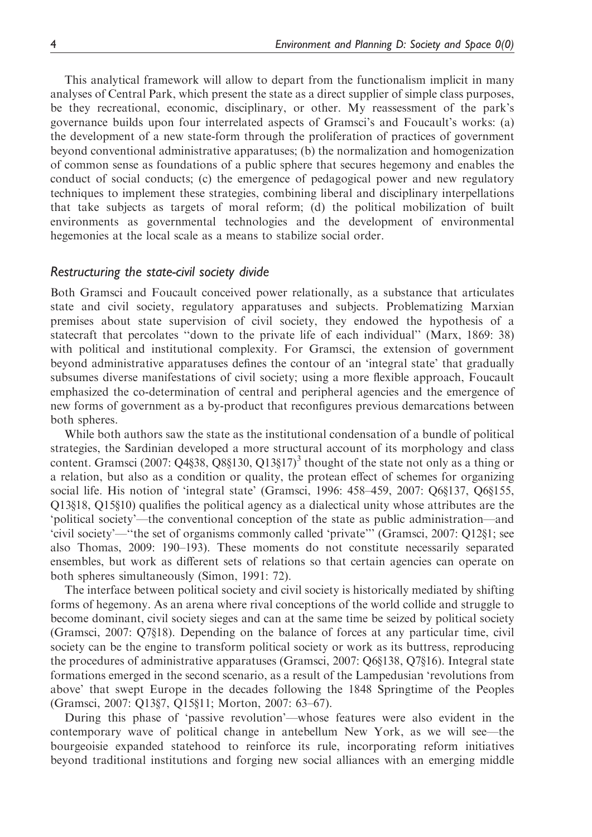This analytical framework will allow to depart from the functionalism implicit in many analyses of Central Park, which present the state as a direct supplier of simple class purposes, be they recreational, economic, disciplinary, or other. My reassessment of the park's governance builds upon four interrelated aspects of Gramsci's and Foucault's works: (a) the development of a new state-form through the proliferation of practices of government beyond conventional administrative apparatuses; (b) the normalization and homogenization of common sense as foundations of a public sphere that secures hegemony and enables the conduct of social conducts; (c) the emergence of pedagogical power and new regulatory techniques to implement these strategies, combining liberal and disciplinary interpellations that take subjects as targets of moral reform; (d) the political mobilization of built environments as governmental technologies and the development of environmental hegemonies at the local scale as a means to stabilize social order.

## Restructuring the state-civil society divide

Both Gramsci and Foucault conceived power relationally, as a substance that articulates state and civil society, regulatory apparatuses and subjects. Problematizing Marxian premises about state supervision of civil society, they endowed the hypothesis of a statecraft that percolates ''down to the private life of each individual'' (Marx, 1869: 38) with political and institutional complexity. For Gramsci, the extension of government beyond administrative apparatuses defines the contour of an 'integral state' that gradually subsumes diverse manifestations of civil society; using a more flexible approach, Foucault emphasized the co-determination of central and peripheral agencies and the emergence of new forms of government as a by-product that reconfigures previous demarcations between both spheres.

While both authors saw the state as the institutional condensation of a bundle of political strategies, the Sardinian developed a more structural account of its morphology and class content. Gramsci (2007: Q4§38, Q8§130, Q13§17)<sup>3</sup> thought of the state not only as a thing or a relation, but also as a condition or quality, the protean effect of schemes for organizing social life. His notion of 'integral state' (Gramsci, 1996: 458–459, 2007: Q6§137, Q6§155, Q13§18, Q15§10) qualifies the political agency as a dialectical unity whose attributes are the 'political society'—the conventional conception of the state as public administration—and 'civil society'—''the set of organisms commonly called 'private''' (Gramsci, 2007: Q12§1; see also Thomas, 2009: 190–193). These moments do not constitute necessarily separated ensembles, but work as different sets of relations so that certain agencies can operate on both spheres simultaneously (Simon, 1991: 72).

The interface between political society and civil society is historically mediated by shifting forms of hegemony. As an arena where rival conceptions of the world collide and struggle to become dominant, civil society sieges and can at the same time be seized by political society (Gramsci, 2007: Q7§18). Depending on the balance of forces at any particular time, civil society can be the engine to transform political society or work as its buttress, reproducing the procedures of administrative apparatuses (Gramsci, 2007: Q6§138, Q7§16). Integral state formations emerged in the second scenario, as a result of the Lampedusian 'revolutions from above' that swept Europe in the decades following the 1848 Springtime of the Peoples (Gramsci, 2007: Q13§7, Q15§11; Morton, 2007: 63–67).

During this phase of 'passive revolution'—whose features were also evident in the contemporary wave of political change in antebellum New York, as we will see—the bourgeoisie expanded statehood to reinforce its rule, incorporating reform initiatives beyond traditional institutions and forging new social alliances with an emerging middle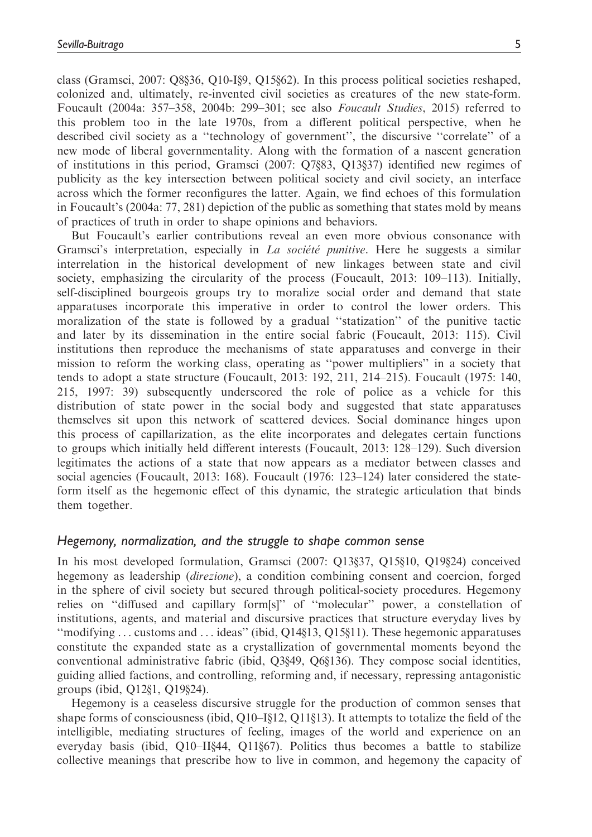class (Gramsci, 2007: Q8§36, Q10-I§9, Q15§62). In this process political societies reshaped, colonized and, ultimately, re-invented civil societies as creatures of the new state-form. Foucault (2004a: 357–358, 2004b: 299–301; see also Foucault Studies, 2015) referred to this problem too in the late 1970s, from a different political perspective, when he described civil society as a ''technology of government'', the discursive ''correlate'' of a new mode of liberal governmentality. Along with the formation of a nascent generation of institutions in this period, Gramsci (2007: Q7§83, Q13§37) identified new regimes of publicity as the key intersection between political society and civil society, an interface across which the former reconfigures the latter. Again, we find echoes of this formulation in Foucault's (2004a: 77, 281) depiction of the public as something that states mold by means of practices of truth in order to shape opinions and behaviors.

But Foucault's earlier contributions reveal an even more obvious consonance with Gramsci's interpretation, especially in *La société punitive*. Here he suggests a similar interrelation in the historical development of new linkages between state and civil society, emphasizing the circularity of the process (Foucault, 2013: 109–113). Initially, self-disciplined bourgeois groups try to moralize social order and demand that state apparatuses incorporate this imperative in order to control the lower orders. This moralization of the state is followed by a gradual ''statization'' of the punitive tactic and later by its dissemination in the entire social fabric (Foucault, 2013: 115). Civil institutions then reproduce the mechanisms of state apparatuses and converge in their mission to reform the working class, operating as ''power multipliers'' in a society that tends to adopt a state structure (Foucault, 2013: 192, 211, 214–215). Foucault (1975: 140, 215, 1997: 39) subsequently underscored the role of police as a vehicle for this distribution of state power in the social body and suggested that state apparatuses themselves sit upon this network of scattered devices. Social dominance hinges upon this process of capillarization, as the elite incorporates and delegates certain functions to groups which initially held different interests (Foucault, 2013: 128–129). Such diversion legitimates the actions of a state that now appears as a mediator between classes and social agencies (Foucault, 2013: 168). Foucault (1976: 123–124) later considered the stateform itself as the hegemonic effect of this dynamic, the strategic articulation that binds them together.

#### Hegemony, normalization, and the struggle to shape common sense

In his most developed formulation, Gramsci (2007: Q13§37, Q15§10, Q19§24) conceived hegemony as leadership (direzione), a condition combining consent and coercion, forged in the sphere of civil society but secured through political-society procedures. Hegemony relies on ''diffused and capillary form[s]'' of ''molecular'' power, a constellation of institutions, agents, and material and discursive practices that structure everyday lives by ''modifying ... customs and ... ideas'' (ibid, Q14§13, Q15§11). These hegemonic apparatuses constitute the expanded state as a crystallization of governmental moments beyond the conventional administrative fabric (ibid, Q3§49, Q6§136). They compose social identities, guiding allied factions, and controlling, reforming and, if necessary, repressing antagonistic groups (ibid, Q12§1, Q19§24).

Hegemony is a ceaseless discursive struggle for the production of common senses that shape forms of consciousness (ibid, Q10–I§12, Q11§13). It attempts to totalize the field of the intelligible, mediating structures of feeling, images of the world and experience on an everyday basis (ibid, Q10–II§44, Q11§67). Politics thus becomes a battle to stabilize collective meanings that prescribe how to live in common, and hegemony the capacity of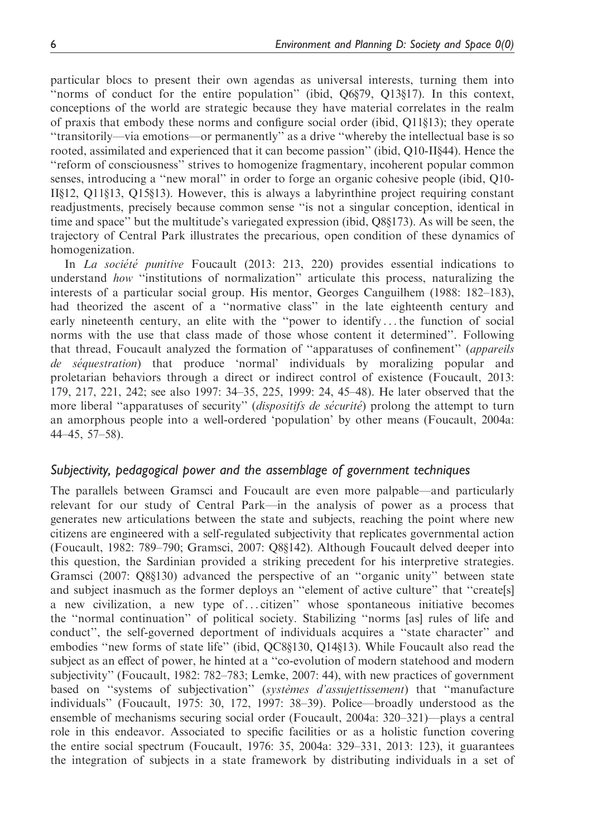particular blocs to present their own agendas as universal interests, turning them into ''norms of conduct for the entire population'' (ibid, Q6§79, Q13§17). In this context, conceptions of the world are strategic because they have material correlates in the realm of praxis that embody these norms and configure social order (ibid, Q11§13); they operate ''transitorily—via emotions—or permanently'' as a drive ''whereby the intellectual base is so rooted, assimilated and experienced that it can become passion'' (ibid, Q10-II§44). Hence the ''reform of consciousness'' strives to homogenize fragmentary, incoherent popular common senses, introducing a ''new moral'' in order to forge an organic cohesive people (ibid, Q10- II§12, Q11§13, Q15§13). However, this is always a labyrinthine project requiring constant readjustments, precisely because common sense ''is not a singular conception, identical in time and space'' but the multitude's variegated expression (ibid, Q8§173). As will be seen, the trajectory of Central Park illustrates the precarious, open condition of these dynamics of homogenization.

In La société punitive Foucault  $(2013: 213, 220)$  provides essential indications to understand how ''institutions of normalization'' articulate this process, naturalizing the interests of a particular social group. His mentor, Georges Canguilhem (1988: 182–183), had theorized the ascent of a ''normative class'' in the late eighteenth century and early nineteenth century, an elite with the ''power to identify ... the function of social norms with the use that class made of those whose content it determined''. Following that thread, Foucault analyzed the formation of ''apparatuses of confinement'' (appareils de séquestration) that produce 'normal' individuals by moralizing popular and proletarian behaviors through a direct or indirect control of existence (Foucault, 2013: 179, 217, 221, 242; see also 1997: 34–35, 225, 1999: 24, 45–48). He later observed that the more liberal "apparatuses of security" (dispositifs de sécurité) prolong the attempt to turn an amorphous people into a well-ordered 'population' by other means (Foucault, 2004a: 44–45, 57–58).

## Subjectivity, pedagogical power and the assemblage of government techniques

The parallels between Gramsci and Foucault are even more palpable—and particularly relevant for our study of Central Park—in the analysis of power as a process that generates new articulations between the state and subjects, reaching the point where new citizens are engineered with a self-regulated subjectivity that replicates governmental action (Foucault, 1982: 789–790; Gramsci, 2007: Q8§142). Although Foucault delved deeper into this question, the Sardinian provided a striking precedent for his interpretive strategies. Gramsci (2007: Q8§130) advanced the perspective of an ''organic unity'' between state and subject inasmuch as the former deploys an "element of active culture" that "create[s] a new civilization, a new type of ... citizen'' whose spontaneous initiative becomes the ''normal continuation'' of political society. Stabilizing ''norms [as] rules of life and conduct'', the self-governed deportment of individuals acquires a ''state character'' and embodies ''new forms of state life'' (ibid, QC8§130, Q14§13). While Foucault also read the subject as an effect of power, he hinted at a ''co-evolution of modern statehood and modern subjectivity'' (Foucault, 1982: 782–783; Lemke, 2007: 44), with new practices of government based on "systems of subjectivation" (systèmes d'assujettissement) that "manufacture individuals'' (Foucault, 1975: 30, 172, 1997: 38–39). Police—broadly understood as the ensemble of mechanisms securing social order (Foucault, 2004a: 320–321)—plays a central role in this endeavor. Associated to specific facilities or as a holistic function covering the entire social spectrum (Foucault, 1976: 35, 2004a: 329–331, 2013: 123), it guarantees the integration of subjects in a state framework by distributing individuals in a set of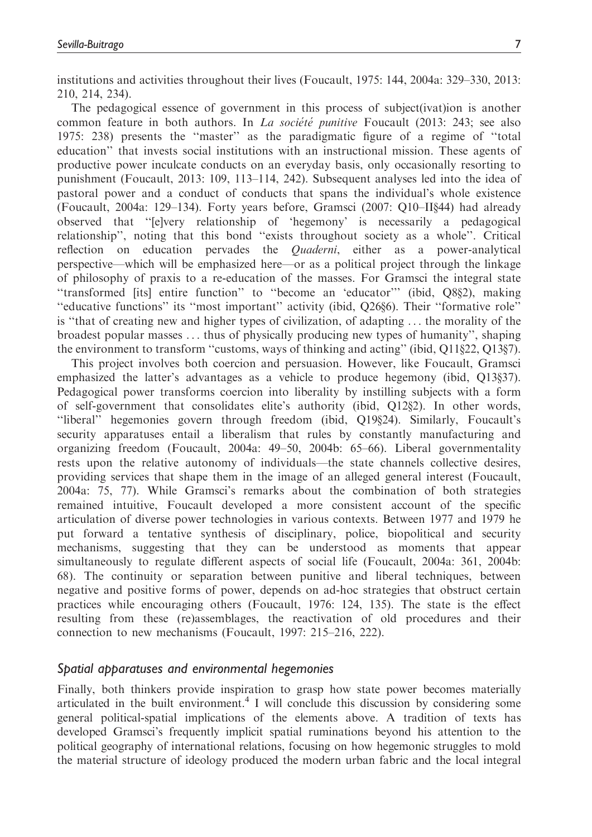institutions and activities throughout their lives (Foucault, 1975: 144, 2004a: 329–330, 2013: 210, 214, 234).

The pedagogical essence of government in this process of subject(ivat)ion is another common feature in both authors. In La société punitive Foucault (2013: 243; see also 1975: 238) presents the ''master'' as the paradigmatic figure of a regime of ''total education'' that invests social institutions with an instructional mission. These agents of productive power inculcate conducts on an everyday basis, only occasionally resorting to punishment (Foucault, 2013: 109, 113–114, 242). Subsequent analyses led into the idea of pastoral power and a conduct of conducts that spans the individual's whole existence (Foucault, 2004a: 129–134). Forty years before, Gramsci (2007: Q10–II§44) had already observed that ''[e]very relationship of 'hegemony' is necessarily a pedagogical relationship'', noting that this bond ''exists throughout society as a whole''. Critical reflection on education pervades the Quaderni, either as a power-analytical perspective—which will be emphasized here—or as a political project through the linkage of philosophy of praxis to a re-education of the masses. For Gramsci the integral state ''transformed [its] entire function'' to ''become an 'educator''' (ibid, Q8§2), making ''educative functions'' its ''most important'' activity (ibid, Q26§6). Their ''formative role'' is ''that of creating new and higher types of civilization, of adapting ... the morality of the broadest popular masses ... thus of physically producing new types of humanity'', shaping the environment to transform ''customs, ways of thinking and acting'' (ibid, Q11§22, Q13§7).

This project involves both coercion and persuasion. However, like Foucault, Gramsci emphasized the latter's advantages as a vehicle to produce hegemony (ibid, Q13§37). Pedagogical power transforms coercion into liberality by instilling subjects with a form of self-government that consolidates elite's authority (ibid, Q12§2). In other words, ''liberal'' hegemonies govern through freedom (ibid, Q19§24). Similarly, Foucault's security apparatuses entail a liberalism that rules by constantly manufacturing and organizing freedom (Foucault, 2004a: 49–50, 2004b: 65–66). Liberal governmentality rests upon the relative autonomy of individuals—the state channels collective desires, providing services that shape them in the image of an alleged general interest (Foucault, 2004a: 75, 77). While Gramsci's remarks about the combination of both strategies remained intuitive, Foucault developed a more consistent account of the specific articulation of diverse power technologies in various contexts. Between 1977 and 1979 he put forward a tentative synthesis of disciplinary, police, biopolitical and security mechanisms, suggesting that they can be understood as moments that appear simultaneously to regulate different aspects of social life (Foucault, 2004a: 361, 2004b: 68). The continuity or separation between punitive and liberal techniques, between negative and positive forms of power, depends on ad-hoc strategies that obstruct certain practices while encouraging others (Foucault, 1976: 124, 135). The state is the effect resulting from these (re)assemblages, the reactivation of old procedures and their connection to new mechanisms (Foucault, 1997: 215–216, 222).

## Spatial apparatuses and environmental hegemonies

Finally, both thinkers provide inspiration to grasp how state power becomes materially articulated in the built environment.4 I will conclude this discussion by considering some general political-spatial implications of the elements above. A tradition of texts has developed Gramsci's frequently implicit spatial ruminations beyond his attention to the political geography of international relations, focusing on how hegemonic struggles to mold the material structure of ideology produced the modern urban fabric and the local integral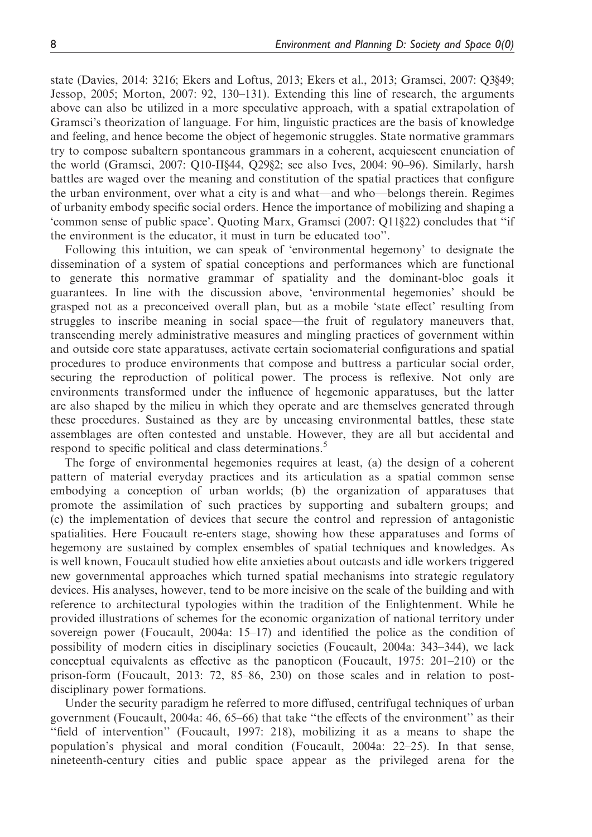state (Davies, 2014: 3216; Ekers and Loftus, 2013; Ekers et al., 2013; Gramsci, 2007: Q3§49; Jessop, 2005; Morton, 2007: 92, 130–131). Extending this line of research, the arguments above can also be utilized in a more speculative approach, with a spatial extrapolation of Gramsci's theorization of language. For him, linguistic practices are the basis of knowledge and feeling, and hence become the object of hegemonic struggles. State normative grammars try to compose subaltern spontaneous grammars in a coherent, acquiescent enunciation of the world (Gramsci, 2007: Q10-II§44, Q29§2; see also Ives, 2004: 90–96). Similarly, harsh battles are waged over the meaning and constitution of the spatial practices that configure the urban environment, over what a city is and what—and who—belongs therein. Regimes of urbanity embody specific social orders. Hence the importance of mobilizing and shaping a 'common sense of public space'. Quoting Marx, Gramsci (2007: Q11§22) concludes that ''if the environment is the educator, it must in turn be educated too''.

Following this intuition, we can speak of 'environmental hegemony' to designate the dissemination of a system of spatial conceptions and performances which are functional to generate this normative grammar of spatiality and the dominant-bloc goals it guarantees. In line with the discussion above, 'environmental hegemonies' should be grasped not as a preconceived overall plan, but as a mobile 'state effect' resulting from struggles to inscribe meaning in social space—the fruit of regulatory maneuvers that, transcending merely administrative measures and mingling practices of government within and outside core state apparatuses, activate certain sociomaterial configurations and spatial procedures to produce environments that compose and buttress a particular social order, securing the reproduction of political power. The process is reflexive. Not only are environments transformed under the influence of hegemonic apparatuses, but the latter are also shaped by the milieu in which they operate and are themselves generated through these procedures. Sustained as they are by unceasing environmental battles, these state assemblages are often contested and unstable. However, they are all but accidental and respond to specific political and class determinations.<sup>5</sup>

The forge of environmental hegemonies requires at least, (a) the design of a coherent pattern of material everyday practices and its articulation as a spatial common sense embodying a conception of urban worlds; (b) the organization of apparatuses that promote the assimilation of such practices by supporting and subaltern groups; and (c) the implementation of devices that secure the control and repression of antagonistic spatialities. Here Foucault re-enters stage, showing how these apparatuses and forms of hegemony are sustained by complex ensembles of spatial techniques and knowledges. As is well known, Foucault studied how elite anxieties about outcasts and idle workers triggered new governmental approaches which turned spatial mechanisms into strategic regulatory devices. His analyses, however, tend to be more incisive on the scale of the building and with reference to architectural typologies within the tradition of the Enlightenment. While he provided illustrations of schemes for the economic organization of national territory under sovereign power (Foucault, 2004a: 15–17) and identified the police as the condition of possibility of modern cities in disciplinary societies (Foucault, 2004a: 343–344), we lack conceptual equivalents as effective as the panopticon (Foucault, 1975: 201–210) or the prison-form (Foucault, 2013: 72, 85–86, 230) on those scales and in relation to postdisciplinary power formations.

Under the security paradigm he referred to more diffused, centrifugal techniques of urban government (Foucault, 2004a: 46, 65–66) that take ''the effects of the environment'' as their "field of intervention" (Foucault, 1997: 218), mobilizing it as a means to shape the population's physical and moral condition (Foucault, 2004a: 22–25). In that sense, nineteenth-century cities and public space appear as the privileged arena for the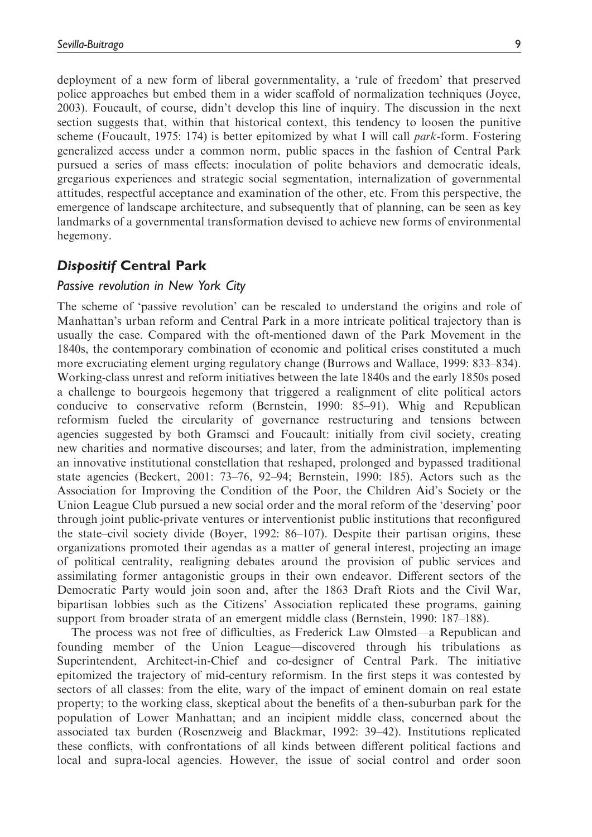deployment of a new form of liberal governmentality, a 'rule of freedom' that preserved police approaches but embed them in a wider scaffold of normalization techniques (Joyce, 2003). Foucault, of course, didn't develop this line of inquiry. The discussion in the next section suggests that, within that historical context, this tendency to loosen the punitive scheme (Foucault, 1975: 174) is better epitomized by what I will call park-form. Fostering generalized access under a common norm, public spaces in the fashion of Central Park pursued a series of mass effects: inoculation of polite behaviors and democratic ideals, gregarious experiences and strategic social segmentation, internalization of governmental attitudes, respectful acceptance and examination of the other, etc. From this perspective, the emergence of landscape architecture, and subsequently that of planning, can be seen as key landmarks of a governmental transformation devised to achieve new forms of environmental hegemony.

# Dispositif Central Park

#### Passive revolution in New York City

The scheme of 'passive revolution' can be rescaled to understand the origins and role of Manhattan's urban reform and Central Park in a more intricate political trajectory than is usually the case. Compared with the oft-mentioned dawn of the Park Movement in the 1840s, the contemporary combination of economic and political crises constituted a much more excruciating element urging regulatory change (Burrows and Wallace, 1999: 833–834). Working-class unrest and reform initiatives between the late 1840s and the early 1850s posed a challenge to bourgeois hegemony that triggered a realignment of elite political actors conducive to conservative reform (Bernstein, 1990: 85–91). Whig and Republican reformism fueled the circularity of governance restructuring and tensions between agencies suggested by both Gramsci and Foucault: initially from civil society, creating new charities and normative discourses; and later, from the administration, implementing an innovative institutional constellation that reshaped, prolonged and bypassed traditional state agencies (Beckert, 2001: 73–76, 92–94; Bernstein, 1990: 185). Actors such as the Association for Improving the Condition of the Poor, the Children Aid's Society or the Union League Club pursued a new social order and the moral reform of the 'deserving' poor through joint public-private ventures or interventionist public institutions that reconfigured the state–civil society divide (Boyer, 1992: 86–107). Despite their partisan origins, these organizations promoted their agendas as a matter of general interest, projecting an image of political centrality, realigning debates around the provision of public services and assimilating former antagonistic groups in their own endeavor. Different sectors of the Democratic Party would join soon and, after the 1863 Draft Riots and the Civil War, bipartisan lobbies such as the Citizens' Association replicated these programs, gaining support from broader strata of an emergent middle class (Bernstein, 1990: 187–188).

The process was not free of difficulties, as Frederick Law Olmsted—a Republican and founding member of the Union League—discovered through his tribulations as Superintendent, Architect-in-Chief and co-designer of Central Park. The initiative epitomized the trajectory of mid-century reformism. In the first steps it was contested by sectors of all classes: from the elite, wary of the impact of eminent domain on real estate property; to the working class, skeptical about the benefits of a then-suburban park for the population of Lower Manhattan; and an incipient middle class, concerned about the associated tax burden (Rosenzweig and Blackmar, 1992: 39–42). Institutions replicated these conflicts, with confrontations of all kinds between different political factions and local and supra-local agencies. However, the issue of social control and order soon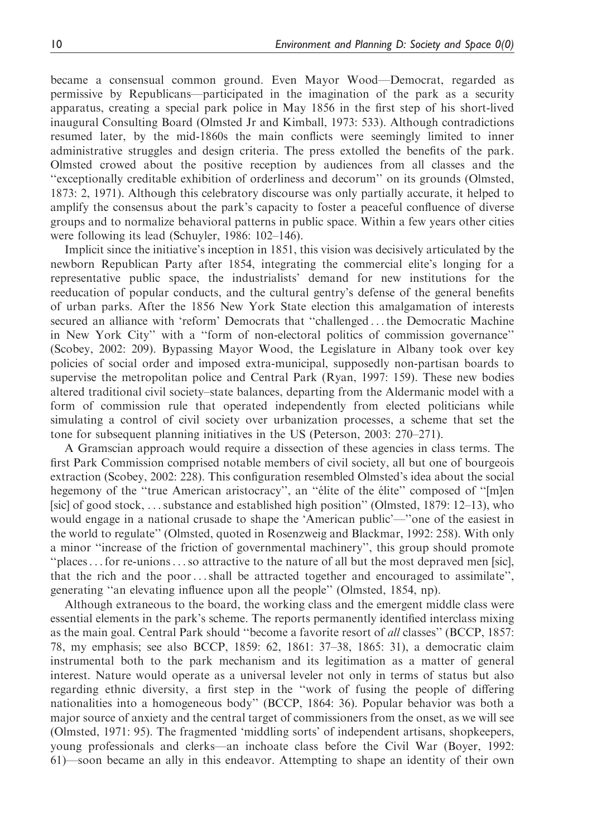became a consensual common ground. Even Mayor Wood—Democrat, regarded as permissive by Republicans—participated in the imagination of the park as a security apparatus, creating a special park police in May 1856 in the first step of his short-lived inaugural Consulting Board (Olmsted Jr and Kimball, 1973: 533). Although contradictions resumed later, by the mid-1860s the main conflicts were seemingly limited to inner administrative struggles and design criteria. The press extolled the benefits of the park. Olmsted crowed about the positive reception by audiences from all classes and the ''exceptionally creditable exhibition of orderliness and decorum'' on its grounds (Olmsted, 1873: 2, 1971). Although this celebratory discourse was only partially accurate, it helped to amplify the consensus about the park's capacity to foster a peaceful confluence of diverse groups and to normalize behavioral patterns in public space. Within a few years other cities were following its lead (Schuyler, 1986: 102–146).

Implicit since the initiative's inception in 1851, this vision was decisively articulated by the newborn Republican Party after 1854, integrating the commercial elite's longing for a representative public space, the industrialists' demand for new institutions for the reeducation of popular conducts, and the cultural gentry's defense of the general benefits of urban parks. After the 1856 New York State election this amalgamation of interests secured an alliance with 'reform' Democrats that ''challenged ... the Democratic Machine in New York City'' with a ''form of non-electoral politics of commission governance'' (Scobey, 2002: 209). Bypassing Mayor Wood, the Legislature in Albany took over key policies of social order and imposed extra-municipal, supposedly non-partisan boards to supervise the metropolitan police and Central Park (Ryan, 1997: 159). These new bodies altered traditional civil society–state balances, departing from the Aldermanic model with a form of commission rule that operated independently from elected politicians while simulating a control of civil society over urbanization processes, a scheme that set the tone for subsequent planning initiatives in the US (Peterson, 2003: 270–271).

A Gramscian approach would require a dissection of these agencies in class terms. The first Park Commission comprised notable members of civil society, all but one of bourgeois extraction (Scobey, 2002: 228). This configuration resembled Olmsted's idea about the social hegemony of the "true American aristocracy", an "élite of the élite" composed of "[m]en [sic] of good stock, ...substance and established high position'' (Olmsted, 1879: 12–13), who would engage in a national crusade to shape the 'American public'—''one of the easiest in the world to regulate'' (Olmsted, quoted in Rosenzweig and Blackmar, 1992: 258). With only a minor ''increase of the friction of governmental machinery'', this group should promote ''places... for re-unions...so attractive to the nature of all but the most depraved men [sic], that the rich and the poor...shall be attracted together and encouraged to assimilate'', generating ''an elevating influence upon all the people'' (Olmsted, 1854, np).

Although extraneous to the board, the working class and the emergent middle class were essential elements in the park's scheme. The reports permanently identified interclass mixing as the main goal. Central Park should ''become a favorite resort of all classes'' (BCCP, 1857: 78, my emphasis; see also BCCP, 1859: 62, 1861: 37–38, 1865: 31), a democratic claim instrumental both to the park mechanism and its legitimation as a matter of general interest. Nature would operate as a universal leveler not only in terms of status but also regarding ethnic diversity, a first step in the ''work of fusing the people of differing nationalities into a homogeneous body'' (BCCP, 1864: 36). Popular behavior was both a major source of anxiety and the central target of commissioners from the onset, as we will see (Olmsted, 1971: 95). The fragmented 'middling sorts' of independent artisans, shopkeepers, young professionals and clerks—an inchoate class before the Civil War (Boyer, 1992: 61)—soon became an ally in this endeavor. Attempting to shape an identity of their own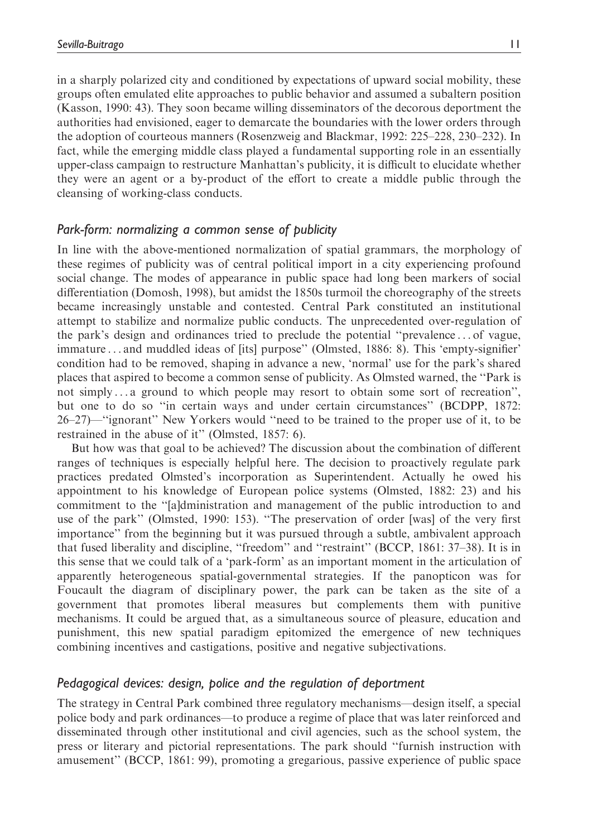in a sharply polarized city and conditioned by expectations of upward social mobility, these groups often emulated elite approaches to public behavior and assumed a subaltern position (Kasson, 1990: 43). They soon became willing disseminators of the decorous deportment the authorities had envisioned, eager to demarcate the boundaries with the lower orders through the adoption of courteous manners (Rosenzweig and Blackmar, 1992: 225–228, 230–232). In fact, while the emerging middle class played a fundamental supporting role in an essentially upper-class campaign to restructure Manhattan's publicity, it is difficult to elucidate whether they were an agent or a by-product of the effort to create a middle public through the cleansing of working-class conducts.

## Park-form: normalizing a common sense of publicity

In line with the above-mentioned normalization of spatial grammars, the morphology of these regimes of publicity was of central political import in a city experiencing profound social change. The modes of appearance in public space had long been markers of social differentiation (Domosh, 1998), but amidst the 1850s turmoil the choreography of the streets became increasingly unstable and contested. Central Park constituted an institutional attempt to stabilize and normalize public conducts. The unprecedented over-regulation of the park's design and ordinances tried to preclude the potential ''prevalence ... of vague, immature ... and muddled ideas of [its] purpose'' (Olmsted, 1886: 8). This 'empty-signifier' condition had to be removed, shaping in advance a new, 'normal' use for the park's shared places that aspired to become a common sense of publicity. As Olmsted warned, the ''Park is not simply ... a ground to which people may resort to obtain some sort of recreation'', but one to do so ''in certain ways and under certain circumstances'' (BCDPP, 1872: 26–27)—''ignorant'' New Yorkers would ''need to be trained to the proper use of it, to be restrained in the abuse of it'' (Olmsted, 1857: 6).

But how was that goal to be achieved? The discussion about the combination of different ranges of techniques is especially helpful here. The decision to proactively regulate park practices predated Olmsted's incorporation as Superintendent. Actually he owed his appointment to his knowledge of European police systems (Olmsted, 1882: 23) and his commitment to the ''[a]dministration and management of the public introduction to and use of the park'' (Olmsted, 1990: 153). ''The preservation of order [was] of the very first importance'' from the beginning but it was pursued through a subtle, ambivalent approach that fused liberality and discipline, ''freedom'' and ''restraint'' (BCCP, 1861: 37–38). It is in this sense that we could talk of a 'park-form' as an important moment in the articulation of apparently heterogeneous spatial-governmental strategies. If the panopticon was for Foucault the diagram of disciplinary power, the park can be taken as the site of a government that promotes liberal measures but complements them with punitive mechanisms. It could be argued that, as a simultaneous source of pleasure, education and punishment, this new spatial paradigm epitomized the emergence of new techniques combining incentives and castigations, positive and negative subjectivations.

# Pedagogical devices: design, police and the regulation of deportment

The strategy in Central Park combined three regulatory mechanisms—design itself, a special police body and park ordinances—to produce a regime of place that was later reinforced and disseminated through other institutional and civil agencies, such as the school system, the press or literary and pictorial representations. The park should ''furnish instruction with amusement'' (BCCP, 1861: 99), promoting a gregarious, passive experience of public space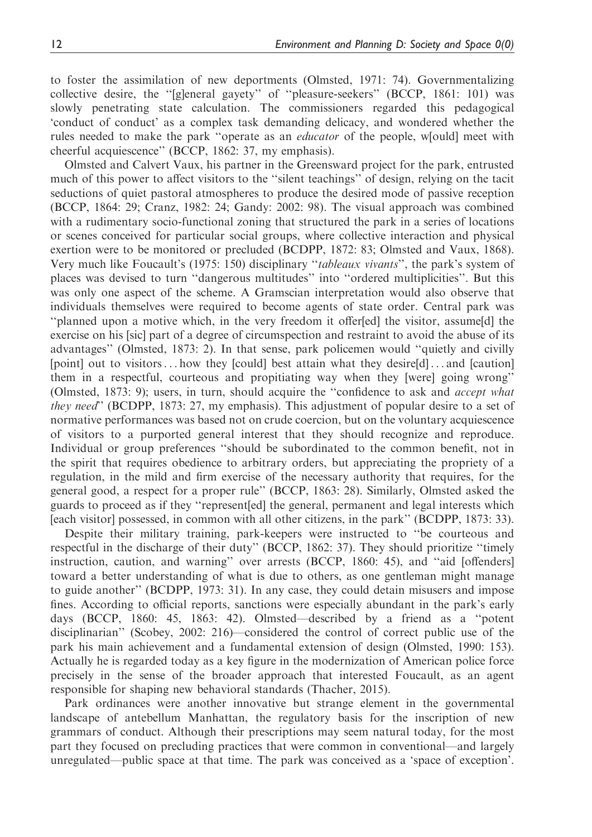to foster the assimilation of new deportments (Olmsted, 1971: 74). Governmentalizing collective desire, the ''[g]eneral gayety'' of ''pleasure-seekers'' (BCCP, 1861: 101) was slowly penetrating state calculation. The commissioners regarded this pedagogical 'conduct of conduct' as a complex task demanding delicacy, and wondered whether the rules needed to make the park "operate as an *educator* of the people, w[ould] meet with cheerful acquiescence'' (BCCP, 1862: 37, my emphasis).

Olmsted and Calvert Vaux, his partner in the Greensward project for the park, entrusted much of this power to affect visitors to the ''silent teachings'' of design, relying on the tacit seductions of quiet pastoral atmospheres to produce the desired mode of passive reception (BCCP, 1864: 29; Cranz, 1982: 24; Gandy: 2002: 98). The visual approach was combined with a rudimentary socio-functional zoning that structured the park in a series of locations or scenes conceived for particular social groups, where collective interaction and physical exertion were to be monitored or precluded (BCDPP, 1872: 83; Olmsted and Vaux, 1868). Very much like Foucault's (1975: 150) disciplinary ''tableaux vivants'', the park's system of places was devised to turn ''dangerous multitudes'' into ''ordered multiplicities''. But this was only one aspect of the scheme. A Gramscian interpretation would also observe that individuals themselves were required to become agents of state order. Central park was ''planned upon a motive which, in the very freedom it offer[ed] the visitor, assume[d] the exercise on his [sic] part of a degree of circumspection and restraint to avoid the abuse of its advantages'' (Olmsted, 1873: 2). In that sense, park policemen would ''quietly and civilly [point] out to visitors... how they [could] best attain what they desire[d] ... and [caution] them in a respectful, courteous and propitiating way when they [were] going wrong'' (Olmsted, 1873: 9); users, in turn, should acquire the ''confidence to ask and accept what they need'' (BCDPP, 1873: 27, my emphasis). This adjustment of popular desire to a set of normative performances was based not on crude coercion, but on the voluntary acquiescence of visitors to a purported general interest that they should recognize and reproduce. Individual or group preferences ''should be subordinated to the common benefit, not in the spirit that requires obedience to arbitrary orders, but appreciating the propriety of a regulation, in the mild and firm exercise of the necessary authority that requires, for the general good, a respect for a proper rule'' (BCCP, 1863: 28). Similarly, Olmsted asked the guards to proceed as if they ''represent[ed] the general, permanent and legal interests which [each visitor] possessed, in common with all other citizens, in the park'' (BCDPP, 1873: 33).

Despite their military training, park-keepers were instructed to ''be courteous and respectful in the discharge of their duty'' (BCCP, 1862: 37). They should prioritize ''timely instruction, caution, and warning'' over arrests (BCCP, 1860: 45), and ''aid [offenders] toward a better understanding of what is due to others, as one gentleman might manage to guide another'' (BCDPP, 1973: 31). In any case, they could detain misusers and impose fines. According to official reports, sanctions were especially abundant in the park's early days (BCCP, 1860: 45, 1863: 42). Olmsted—described by a friend as a ''potent disciplinarian'' (Scobey, 2002: 216)—considered the control of correct public use of the park his main achievement and a fundamental extension of design (Olmsted, 1990: 153). Actually he is regarded today as a key figure in the modernization of American police force precisely in the sense of the broader approach that interested Foucault, as an agent responsible for shaping new behavioral standards (Thacher, 2015).

Park ordinances were another innovative but strange element in the governmental landscape of antebellum Manhattan, the regulatory basis for the inscription of new grammars of conduct. Although their prescriptions may seem natural today, for the most part they focused on precluding practices that were common in conventional—and largely unregulated—public space at that time. The park was conceived as a 'space of exception'.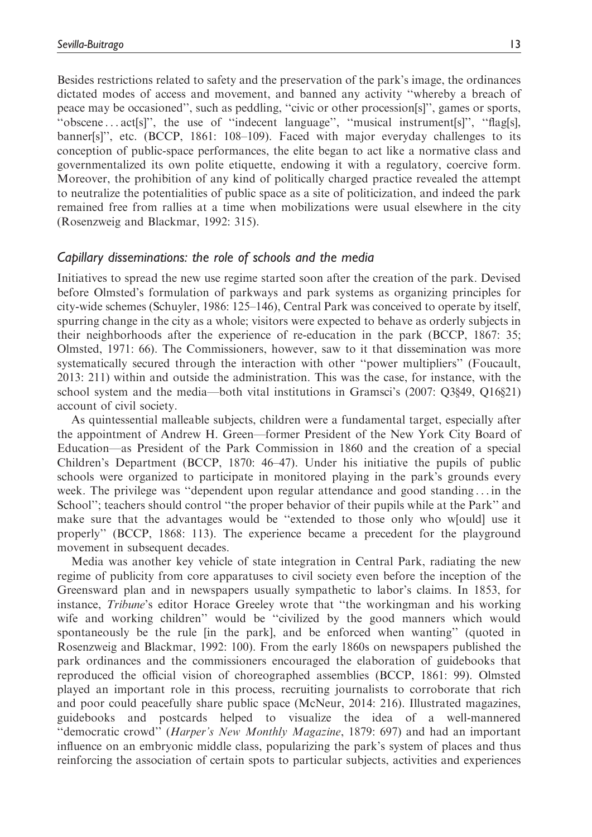Besides restrictions related to safety and the preservation of the park's image, the ordinances dictated modes of access and movement, and banned any activity ''whereby a breach of peace may be occasioned'', such as peddling, ''civic or other procession[s]'', games or sports, "obscene... act[s]", the use of "indecent language", "musical instrument[s]", "flag[s], banner[s]'', etc. (BCCP, 1861: 108–109). Faced with major everyday challenges to its conception of public-space performances, the elite began to act like a normative class and governmentalized its own polite etiquette, endowing it with a regulatory, coercive form. Moreover, the prohibition of any kind of politically charged practice revealed the attempt to neutralize the potentialities of public space as a site of politicization, and indeed the park remained free from rallies at a time when mobilizations were usual elsewhere in the city (Rosenzweig and Blackmar, 1992: 315).

## Capillary disseminations: the role of schools and the media

Initiatives to spread the new use regime started soon after the creation of the park. Devised before Olmsted's formulation of parkways and park systems as organizing principles for city-wide schemes (Schuyler, 1986: 125–146), Central Park was conceived to operate by itself, spurring change in the city as a whole; visitors were expected to behave as orderly subjects in their neighborhoods after the experience of re-education in the park (BCCP, 1867: 35; Olmsted, 1971: 66). The Commissioners, however, saw to it that dissemination was more systematically secured through the interaction with other ''power multipliers'' (Foucault, 2013: 211) within and outside the administration. This was the case, for instance, with the school system and the media—both vital institutions in Gramsci's (2007: Q3§49, Q16§21) account of civil society.

As quintessential malleable subjects, children were a fundamental target, especially after the appointment of Andrew H. Green—former President of the New York City Board of Education—as President of the Park Commission in 1860 and the creation of a special Children's Department (BCCP, 1870: 46–47). Under his initiative the pupils of public schools were organized to participate in monitored playing in the park's grounds every week. The privilege was ''dependent upon regular attendance and good standing ... in the School''; teachers should control ''the proper behavior of their pupils while at the Park'' and make sure that the advantages would be "extended to those only who w[ould] use it properly'' (BCCP, 1868: 113). The experience became a precedent for the playground movement in subsequent decades.

Media was another key vehicle of state integration in Central Park, radiating the new regime of publicity from core apparatuses to civil society even before the inception of the Greensward plan and in newspapers usually sympathetic to labor's claims. In 1853, for instance, Tribune's editor Horace Greeley wrote that ''the workingman and his working wife and working children'' would be ''civilized by the good manners which would spontaneously be the rule [in the park], and be enforced when wanting'' (quoted in Rosenzweig and Blackmar, 1992: 100). From the early 1860s on newspapers published the park ordinances and the commissioners encouraged the elaboration of guidebooks that reproduced the official vision of choreographed assemblies (BCCP, 1861: 99). Olmsted played an important role in this process, recruiting journalists to corroborate that rich and poor could peacefully share public space (McNeur, 2014: 216). Illustrated magazines, guidebooks and postcards helped to visualize the idea of a well-mannered ''democratic crowd'' (Harper's New Monthly Magazine, 1879: 697) and had an important influence on an embryonic middle class, popularizing the park's system of places and thus reinforcing the association of certain spots to particular subjects, activities and experiences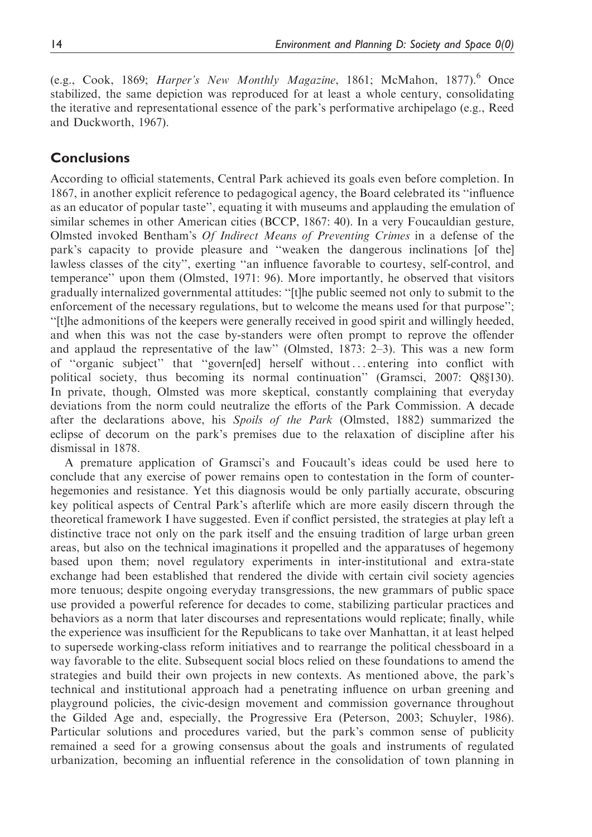(e.g., Cook, 1869; Harper's New Monthly Magazine, 1861; McMahon, 1877).<sup>6</sup> Once stabilized, the same depiction was reproduced for at least a whole century, consolidating the iterative and representational essence of the park's performative archipelago (e.g., Reed and Duckworth, 1967).

# **Conclusions**

According to official statements, Central Park achieved its goals even before completion. In 1867, in another explicit reference to pedagogical agency, the Board celebrated its ''influence as an educator of popular taste'', equating it with museums and applauding the emulation of similar schemes in other American cities (BCCP, 1867: 40). In a very Foucauldian gesture, Olmsted invoked Bentham's Of Indirect Means of Preventing Crimes in a defense of the park's capacity to provide pleasure and ''weaken the dangerous inclinations [of the] lawless classes of the city'', exerting ''an influence favorable to courtesy, self-control, and temperance'' upon them (Olmsted, 1971: 96). More importantly, he observed that visitors gradually internalized governmental attitudes: ''[t]he public seemed not only to submit to the enforcement of the necessary regulations, but to welcome the means used for that purpose''; ''[t]he admonitions of the keepers were generally received in good spirit and willingly heeded, and when this was not the case by-standers were often prompt to reprove the offender and applaud the representative of the law'' (Olmsted, 1873: 2–3). This was a new form of ''organic subject'' that ''govern[ed] herself without ... entering into conflict with political society, thus becoming its normal continuation'' (Gramsci, 2007: Q8§130). In private, though, Olmsted was more skeptical, constantly complaining that everyday deviations from the norm could neutralize the efforts of the Park Commission. A decade after the declarations above, his Spoils of the Park (Olmsted, 1882) summarized the eclipse of decorum on the park's premises due to the relaxation of discipline after his dismissal in 1878.

A premature application of Gramsci's and Foucault's ideas could be used here to conclude that any exercise of power remains open to contestation in the form of counterhegemonies and resistance. Yet this diagnosis would be only partially accurate, obscuring key political aspects of Central Park's afterlife which are more easily discern through the theoretical framework I have suggested. Even if conflict persisted, the strategies at play left a distinctive trace not only on the park itself and the ensuing tradition of large urban green areas, but also on the technical imaginations it propelled and the apparatuses of hegemony based upon them; novel regulatory experiments in inter-institutional and extra-state exchange had been established that rendered the divide with certain civil society agencies more tenuous; despite ongoing everyday transgressions, the new grammars of public space use provided a powerful reference for decades to come, stabilizing particular practices and behaviors as a norm that later discourses and representations would replicate; finally, while the experience was insufficient for the Republicans to take over Manhattan, it at least helped to supersede working-class reform initiatives and to rearrange the political chessboard in a way favorable to the elite. Subsequent social blocs relied on these foundations to amend the strategies and build their own projects in new contexts. As mentioned above, the park's technical and institutional approach had a penetrating influence on urban greening and playground policies, the civic-design movement and commission governance throughout the Gilded Age and, especially, the Progressive Era (Peterson, 2003; Schuyler, 1986). Particular solutions and procedures varied, but the park's common sense of publicity remained a seed for a growing consensus about the goals and instruments of regulated urbanization, becoming an influential reference in the consolidation of town planning in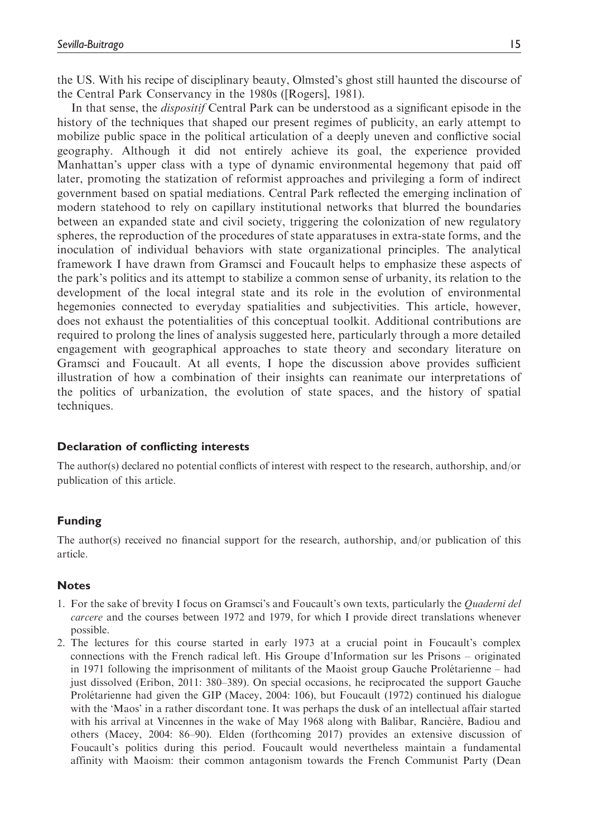the US. With his recipe of disciplinary beauty, Olmsted's ghost still haunted the discourse of the Central Park Conservancy in the 1980s ([Rogers], 1981).

In that sense, the *dispositif* Central Park can be understood as a significant episode in the history of the techniques that shaped our present regimes of publicity, an early attempt to mobilize public space in the political articulation of a deeply uneven and conflictive social geography. Although it did not entirely achieve its goal, the experience provided Manhattan's upper class with a type of dynamic environmental hegemony that paid off later, promoting the statization of reformist approaches and privileging a form of indirect government based on spatial mediations. Central Park reflected the emerging inclination of modern statehood to rely on capillary institutional networks that blurred the boundaries between an expanded state and civil society, triggering the colonization of new regulatory spheres, the reproduction of the procedures of state apparatuses in extra-state forms, and the inoculation of individual behaviors with state organizational principles. The analytical framework I have drawn from Gramsci and Foucault helps to emphasize these aspects of the park's politics and its attempt to stabilize a common sense of urbanity, its relation to the development of the local integral state and its role in the evolution of environmental hegemonies connected to everyday spatialities and subjectivities. This article, however, does not exhaust the potentialities of this conceptual toolkit. Additional contributions are required to prolong the lines of analysis suggested here, particularly through a more detailed engagement with geographical approaches to state theory and secondary literature on Gramsci and Foucault. At all events, I hope the discussion above provides sufficient illustration of how a combination of their insights can reanimate our interpretations of the politics of urbanization, the evolution of state spaces, and the history of spatial techniques.

#### Declaration of conflicting interests

The author(s) declared no potential conflicts of interest with respect to the research, authorship, and/or publication of this article.

#### Funding

The author(s) received no financial support for the research, authorship, and/or publication of this article.

#### **Notes**

- 1. For the sake of brevity I focus on Gramsci's and Foucault's own texts, particularly the Quaderni del carcere and the courses between 1972 and 1979, for which I provide direct translations whenever possible.
- 2. The lectures for this course started in early 1973 at a crucial point in Foucault's complex connections with the French radical left. His Groupe d'Information sur les Prisons – originated in 1971 following the imprisonment of militants of the Maoist group Gauche Prolétarienne – had just dissolved (Eribon, 2011: 380–389). On special occasions, he reciprocated the support Gauche Prolétarienne had given the GIP (Macey, 2004: 106), but Foucault (1972) continued his dialogue with the 'Maos' in a rather discordant tone. It was perhaps the dusk of an intellectual affair started with his arrival at Vincennes in the wake of May 1968 along with Balibar, Ranciere, Badiou and others (Macey, 2004: 86–90). Elden (forthcoming 2017) provides an extensive discussion of Foucault's politics during this period. Foucault would nevertheless maintain a fundamental affinity with Maoism: their common antagonism towards the French Communist Party (Dean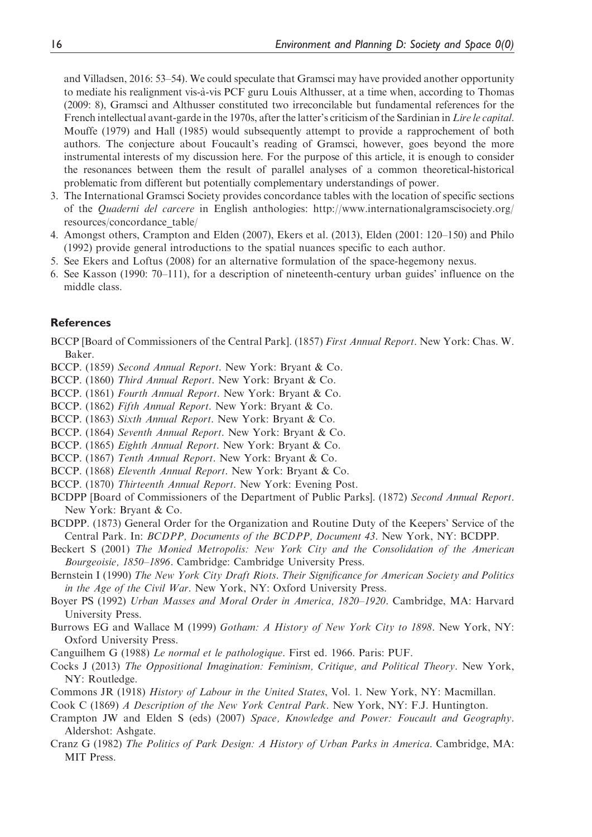and Villadsen, 2016: 53–54). We could speculate that Gramsci may have provided another opportunity to mediate his realignment vis-a`-vis PCF guru Louis Althusser, at a time when, according to Thomas (2009: 8), Gramsci and Althusser constituted two irreconcilable but fundamental references for the French intellectual avant-garde in the 1970s, after the latter's criticism of the Sardinian in Lire le capital. Mouffe (1979) and Hall (1985) would subsequently attempt to provide a rapprochement of both authors. The conjecture about Foucault's reading of Gramsci, however, goes beyond the more instrumental interests of my discussion here. For the purpose of this article, it is enough to consider the resonances between them the result of parallel analyses of a common theoretical-historical problematic from different but potentially complementary understandings of power.

- 3. The International Gramsci Society provides concordance tables with the location of specific sections of the Quaderni del carcere in English anthologies: [http://www.internationalgramscisociety.org/](http://www.internationalgramscisociety.org/resources/concordance_table/) [resources/concordance\\_table/](http://www.internationalgramscisociety.org/resources/concordance_table/)
- 4. Amongst others, Crampton and Elden (2007), Ekers et al. (2013), Elden (2001: 120–150) and Philo (1992) provide general introductions to the spatial nuances specific to each author.
- 5. See Ekers and Loftus (2008) for an alternative formulation of the space-hegemony nexus.
- 6. See Kasson (1990: 70–111), for a description of nineteenth-century urban guides' influence on the middle class.

#### **References**

BCCP [Board of Commissioners of the Central Park]. (1857) First Annual Report. New York: Chas. W. Baker.

- BCCP. (1859) Second Annual Report. New York: Bryant & Co.
- BCCP. (1860) Third Annual Report. New York: Bryant & Co.
- BCCP. (1861) Fourth Annual Report. New York: Bryant & Co.
- BCCP. (1862) Fifth Annual Report. New York: Bryant & Co.
- BCCP. (1863) Sixth Annual Report. New York: Bryant & Co.
- BCCP. (1864) Seventh Annual Report. New York: Bryant & Co.
- BCCP. (1865) Eighth Annual Report. New York: Bryant & Co.
- BCCP. (1867) Tenth Annual Report. New York: Bryant & Co.
- BCCP. (1868) Eleventh Annual Report. New York: Bryant & Co.
- BCCP. (1870) Thirteenth Annual Report. New York: Evening Post.
- BCDPP [Board of Commissioners of the Department of Public Parks]. (1872) Second Annual Report. New York: Bryant & Co.
- BCDPP. (1873) General Order for the Organization and Routine Duty of the Keepers' Service of the Central Park. In: BCDPP, Documents of the BCDPP, Document 43. New York, NY: BCDPP.
- Beckert S (2001) The Monied Metropolis: New York City and the Consolidation of the American Bourgeoisie, 1850–1896. Cambridge: Cambridge University Press.
- Bernstein I (1990) The New York City Draft Riots. Their Significance for American Society and Politics in the Age of the Civil War. New York, NY: Oxford University Press.
- Boyer PS (1992) Urban Masses and Moral Order in America, 1820–1920. Cambridge, MA: Harvard University Press.
- Burrows EG and Wallace M (1999) Gotham: A History of New York City to 1898. New York, NY: Oxford University Press.
- Canguilhem G (1988) Le normal et le pathologique. First ed. 1966. Paris: PUF.
- Cocks J (2013) The Oppositional Imagination: Feminism, Critique, and Political Theory. New York, NY: Routledge.
- Commons JR (1918) History of Labour in the United States, Vol. 1. New York, NY: Macmillan.
- Cook C (1869) A Description of the New York Central Park. New York, NY: F.J. Huntington.
- Crampton JW and Elden S (eds) (2007) Space, Knowledge and Power: Foucault and Geography. Aldershot: Ashgate.
- Cranz G (1982) The Politics of Park Design: A History of Urban Parks in America. Cambridge, MA: MIT Press.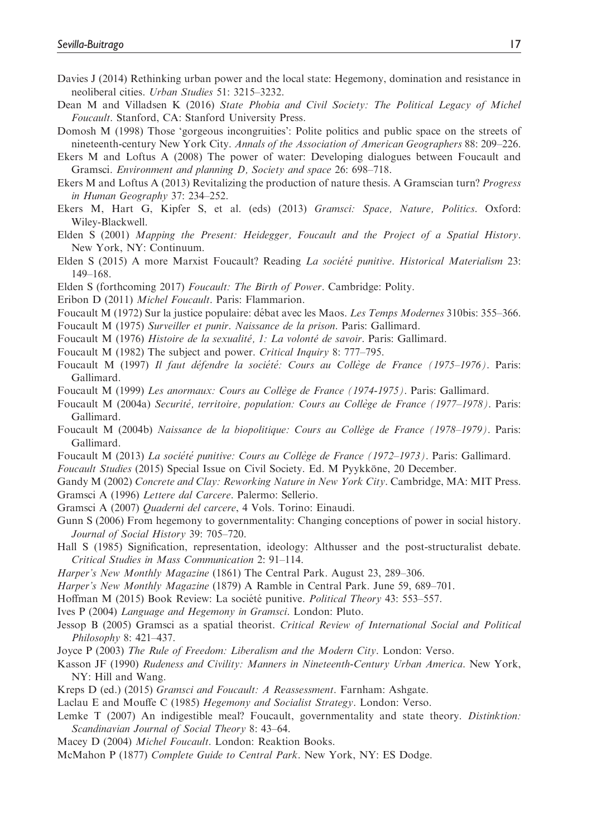- Davies J (2014) Rethinking urban power and the local state: Hegemony, domination and resistance in neoliberal cities. Urban Studies 51: 3215–3232.
- Dean M and Villadsen K (2016) State Phobia and Civil Society: The Political Legacy of Michel Foucault. Stanford, CA: Stanford University Press.
- Domosh M (1998) Those 'gorgeous incongruities': Polite politics and public space on the streets of nineteenth-century New York City. Annals of the Association of American Geographers 88: 209–226.
- Ekers M and Loftus A (2008) The power of water: Developing dialogues between Foucault and Gramsci. Environment and planning D, Society and space 26: 698–718.
- Ekers M and Loftus A (2013) Revitalizing the production of nature thesis. A Gramscian turn? Progress in Human Geography 37: 234–252.
- Ekers M, Hart G, Kipfer S, et al. (eds) (2013) Gramsci: Space, Nature, Politics. Oxford: Wiley-Blackwell.
- Elden S (2001) Mapping the Present: Heidegger, Foucault and the Project of a Spatial History. New York, NY: Continuum.
- Elden S (2015) A more Marxist Foucault? Reading La société punitive. Historical Materialism 23: 149–168.
- Elden S (forthcoming 2017) Foucault: The Birth of Power. Cambridge: Polity.
- Eribon D (2011) Michel Foucault. Paris: Flammarion.
- Foucault M (1972) Sur la justice populaire: débat avec les Maos. Les Temps Modernes 310bis: 355–366.
- Foucault M (1975) Surveiller et punir. Naissance de la prison. Paris: Gallimard.
- Foucault M (1976) Histoire de la sexualité, 1: La volonté de savoir. Paris: Gallimard.
- Foucault M (1982) The subject and power. Critical Inquiry 8: 777–795.
- Foucault M (1997) Il faut défendre la société: Cours au Collège de France (1975–1976). Paris: Gallimard.
- Foucault M (1999) Les anormaux: Cours au Collège de France (1974-1975). Paris: Gallimard.
- Foucault M (2004a) Securité, territoire, population: Cours au Collège de France (1977–1978). Paris: Gallimard.
- Foucault M (2004b) Naissance de la biopolitique: Cours au Collège de France (1978–1979). Paris: Gallimard.
- Foucault M (2013) La société punitive: Cours au Collège de France (1972–1973). Paris: Gallimard.
- Foucault Studies (2015) Special Issue on Civil Society. Ed. M Pyykköne, 20 December.
- Gandy M (2002) Concrete and Clay: Reworking Nature in New York City. Cambridge, MA: MIT Press. Gramsci A (1996) Lettere dal Carcere. Palermo: Sellerio.
- Gramsci A (2007) Quaderni del carcere, 4 Vols. Torino: Einaudi.
- Gunn S (2006) From hegemony to governmentality: Changing conceptions of power in social history. Journal of Social History 39: 705–720.
- Hall S (1985) Signification, representation, ideology: Althusser and the post-structuralist debate. Critical Studies in Mass Communication 2: 91–114.
- Harper's New Monthly Magazine (1861) The Central Park. August 23, 289–306.
- Harper's New Monthly Magazine (1879) A Ramble in Central Park. June 59, 689–701.
- Hoffman M (2015) Book Review: La société punitive. Political Theory 43: 553–557.
- Ives P (2004) Language and Hegemony in Gramsci. London: Pluto.
- Jessop B (2005) Gramsci as a spatial theorist. Critical Review of International Social and Political Philosophy 8: 421–437.
- Joyce P (2003) The Rule of Freedom: Liberalism and the Modern City. London: Verso.
- Kasson JF (1990) Rudeness and Civility: Manners in Nineteenth-Century Urban America. New York, NY: Hill and Wang.
- Kreps D (ed.) (2015) Gramsci and Foucault: A Reassessment. Farnham: Ashgate.
- Laclau E and Mouffe C (1985) Hegemony and Socialist Strategy. London: Verso.
- Lemke T (2007) An indigestible meal? Foucault, governmentality and state theory. Distinktion: Scandinavian Journal of Social Theory 8: 43–64.
- Macey D (2004) Michel Foucault. London: Reaktion Books.
- McMahon P (1877) Complete Guide to Central Park. New York, NY: ES Dodge.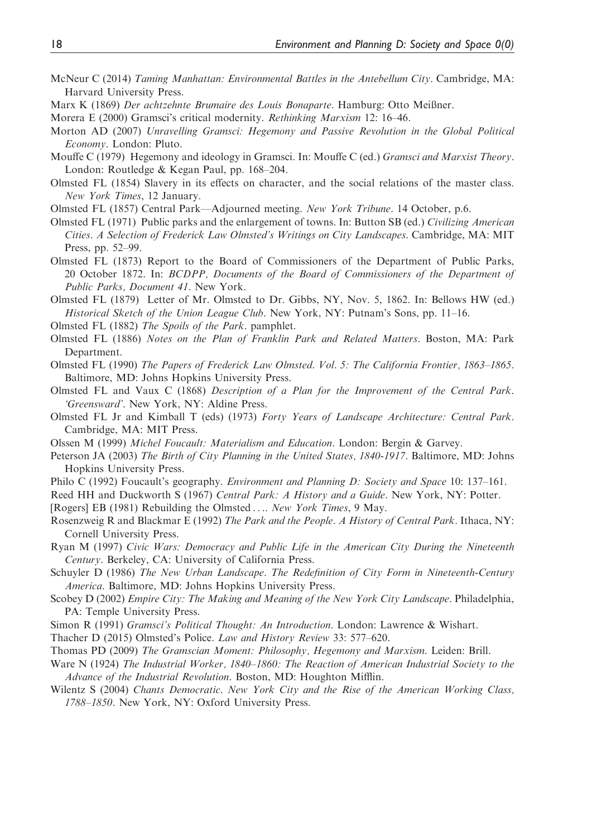- McNeur C (2014) Taming Manhattan: Environmental Battles in the Antebellum City. Cambridge, MA: Harvard University Press.
- Marx K (1869) Der achtzehnte Brumaire des Louis Bonaparte. Hamburg: Otto Meißner.
- Morera E (2000) Gramsci's critical modernity. Rethinking Marxism 12: 16–46.
- Morton AD (2007) Unravelling Gramsci: Hegemony and Passive Revolution in the Global Political Economy. London: Pluto.
- Mouffe C (1979) Hegemony and ideology in Gramsci. In: Mouffe C (ed.) Gramsci and Marxist Theory. London: Routledge & Kegan Paul, pp. 168–204.
- Olmsted FL (1854) Slavery in its effects on character, and the social relations of the master class. New York Times, 12 January.
- Olmsted FL (1857) Central Park—Adjourned meeting. New York Tribune. 14 October, p.6.
- Olmsted FL (1971) Public parks and the enlargement of towns. In: Button SB (ed.) Civilizing American Cities. A Selection of Frederick Law Olmsted's Writings on City Landscapes. Cambridge, MA: MIT Press, pp. 52–99.
- Olmsted FL (1873) Report to the Board of Commissioners of the Department of Public Parks, 20 October 1872. In: BCDPP, Documents of the Board of Commissioners of the Department of Public Parks, Document 41. New York.
- Olmsted FL (1879) Letter of Mr. Olmsted to Dr. Gibbs, NY, Nov. 5, 1862. In: Bellows HW (ed.) Historical Sketch of the Union League Club. New York, NY: Putnam's Sons, pp. 11–16.
- Olmsted FL (1882) The Spoils of the Park. pamphlet.
- Olmsted FL (1886) Notes on the Plan of Franklin Park and Related Matters. Boston, MA: Park Department.
- Olmsted FL (1990) The Papers of Frederick Law Olmsted. Vol. 5: The California Frontier, 1863–1865. Baltimore, MD: Johns Hopkins University Press.
- Olmsted FL and Vaux C (1868) Description of a Plan for the Improvement of the Central Park. 'Greensward'. New York, NY: Aldine Press.
- Olmsted FL Jr and Kimball T (eds) (1973) Forty Years of Landscape Architecture: Central Park. Cambridge, MA: MIT Press.
- Olssen M (1999) Michel Foucault: Materialism and Education. London: Bergin & Garvey.
- Peterson JA (2003) The Birth of City Planning in the United States, 1840-1917. Baltimore, MD: Johns Hopkins University Press.
- Philo C (1992) Foucault's geography. Environment and Planning D: Society and Space 10: 137–161.
- Reed HH and Duckworth S (1967) Central Park: A History and a Guide. New York, NY: Potter.
- [Rogers] EB (1981) Rebuilding the Olmsted .... New York Times, 9 May.
- Rosenzweig R and Blackmar E (1992) The Park and the People. A History of Central Park. Ithaca, NY: Cornell University Press.
- Ryan M (1997) Civic Wars: Democracy and Public Life in the American City During the Nineteenth Century. Berkeley, CA: University of California Press.
- Schuyler D (1986) The New Urban Landscape. The Redefinition of City Form in Nineteenth-Century America. Baltimore, MD: Johns Hopkins University Press.
- Scobey D (2002) *Empire City: The Making and Meaning of the New York City Landscape*. Philadelphia, PA: Temple University Press.
- Simon R (1991) Gramsci's Political Thought: An Introduction. London: Lawrence & Wishart.
- Thacher D (2015) Olmsted's Police. Law and History Review 33: 577–620.
- Thomas PD (2009) The Gramscian Moment: Philosophy, Hegemony and Marxism. Leiden: Brill.
- Ware N (1924) The Industrial Worker, 1840–1860: The Reaction of American Industrial Society to the Advance of the Industrial Revolution. Boston, MD: Houghton Mifflin.
- Wilentz S (2004) Chants Democratic. New York City and the Rise of the American Working Class, 1788–1850. New York, NY: Oxford University Press.